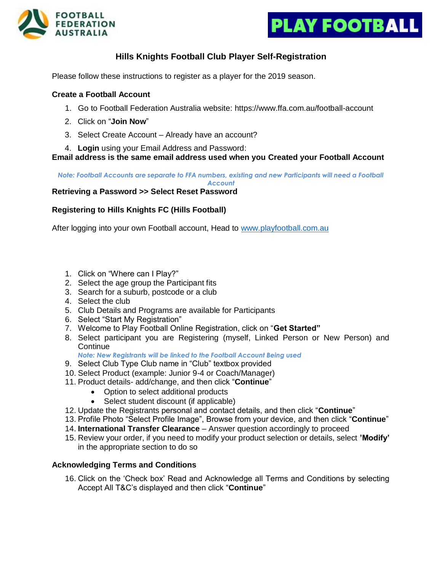



## **Hills Knights Football Club Player Self-Registration**

Please follow these instructions to register as a player for the 2019 season.

#### **Create a Football Account**

- 1. Go to Football Federation Australia website: https://www.ffa.com.au/football-account
- 2. Click on "**Join Now**"
- 3. Select Create Account Already have an account?
- 4. **Login** using your Email Address and Password:

**Email address is the same email address used when you Created your Football Account**

*Note: Football Accounts are separate to FFA numbers, existing and new Participants will need a Football* 

*Account*

#### **Retrieving a Password >> Select Reset Password**

#### **Registering to Hills Knights FC (Hills Football)**

After logging into your own Football account, Head to [www.playfootball.com.au](http://www.playfootball.com.au/)

- 1. Click on "Where can I Play?"
- 2. Select the age group the Participant fits
- 3. Search for a suburb, postcode or a club
- 4. Select the club
- 5. Club Details and Programs are available for Participants
- 6. Select "Start My Registration"
- 7. Welcome to Play Football Online Registration, click on "**Get Started"**
- 8. Select participant you are Registering (myself, Linked Person or New Person) and **Continue**

*Note: New Registrants will be linked to the Football Account Being used*

- 9. Select Club Type Club name in "Club" textbox provided
- 10. Select Product (example: Junior 9-4 or Coach/Manager)
- 11. Product details- add/change, and then click "**Continue**"
	- Option to select additional products
	- Select student discount (if applicable)
- 12. Update the Registrants personal and contact details, and then click "**Continue**"
- 13. Profile Photo "Select Profile Image", Browse from your device, and then click "**Continue**"
- 14. **International Transfer Clearance** Answer question accordingly to proceed
- 15. Review your order, if you need to modify your product selection or details, select **'Modify'**  in the appropriate section to do so

#### **Acknowledging Terms and Conditions**

16. Click on the 'Check box' Read and Acknowledge all Terms and Conditions by selecting Accept All T&C's displayed and then click "**Continue**"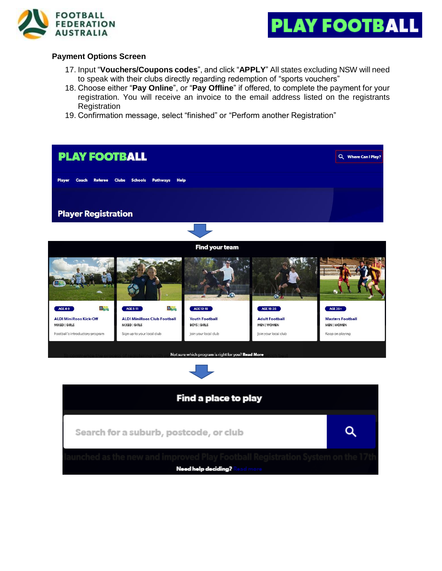



### **Payment Options Screen**

- 17. Input "**Vouchers/Coupons codes**", and click "**APPLY**" All states excluding NSW will need to speak with their clubs directly regarding redemption of "sports vouchers"
- 18. Choose either "**Pay Online**", or "**Pay Offline**" if offered, to complete the payment for your registration. You will receive an invoice to the email address listed on the registrants **Registration**
- 19. Confirmation message, select "finished" or "Perform another Registration"

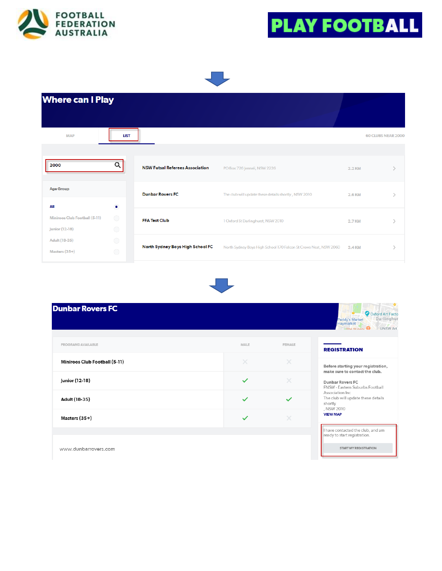



START MY REGISTRATION

#### **Where can I Play MAP LIST** 60 CLUBS NEAR 2000  $\alpha$ 2000 **NSW Futsal Referees Association** PO Box 726 Jannali, NSW 2226 2.2 KM  $\,>\,$ Age Group **Dunbar Rovers FC** The club will update these details shortly, NSW 2010  $2.6$  KM  $\bar{\rm{>}}$ All  $\bullet$ Miniroos Club Football (5-11) **FFA Test Club** 1 Oxford St Darlinghurst, NSW 2010 2.7 KM  $\left. \right\rangle$ **Junior** (12-18) Adult (18-35) North Sydney Boys High School FC North Sydney Boys High School 170 Falcon St Crows Nest, NSW 2060 3.4 KM  $\,$ Masters (35+)



| <b>Dunbar Rovers FC</b>       |              |               | O Oxford Art Facto<br>Darlinghur<br>Paddy's Market<br><b>Haymarket</b><br><b>LINSW Art</b><br>The Winery                                                                                                                          |
|-------------------------------|--------------|---------------|-----------------------------------------------------------------------------------------------------------------------------------------------------------------------------------------------------------------------------------|
| <b>PROGRAMS AVAILABLE</b>     | MALE         | <b>FEMALE</b> | <b>REGISTRATION</b>                                                                                                                                                                                                               |
| Miniroos Club Football (5-11) | $\times$     | $\times$      | Before starting your registration,<br>make sure to contact the club.<br>Dunbar Rovers FC<br>FNSW - Eastern Suburbs Football<br>Association Inc.<br>The club will update these details<br>shortly<br>, NSW 2010<br><b>VIEW MAP</b> |
| Junior (12-18)                | $\checkmark$ | $\times$      |                                                                                                                                                                                                                                   |
| Adult (18-35)                 | $\checkmark$ | $\checkmark$  |                                                                                                                                                                                                                                   |
| Masters (35+)                 | $\checkmark$ | ×             |                                                                                                                                                                                                                                   |
|                               |              |               | I have contacted the club, and am<br>ready to start registration.                                                                                                                                                                 |

www.dunbarrovers.com